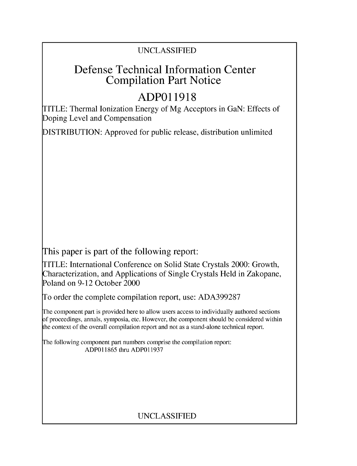## UNCLASSIFIED

# Defense Technical Information Center Compilation Part Notice

# **ADPO 11918**

TITLE: Thermal Ionization Energy of Mg Acceptors in GaN: Effects of Doping Level and Compensation

DISTRIBUTION: Approved for public release, distribution unlimited

This paper is part of the following report:

TITLE: International Conference on Solid State Crystals 2000: Growth, Characterization, and Applications of Single Crystals Held in Zakopane, Poland on 9-12 October 2000

To order the complete compilation report, use: ADA399287

The component part is provided here to allow users access to individually authored sections f proceedings, annals, symposia, etc. However, the component should be considered within [he context of the overall compilation report and not as a stand-alone technical report.

The following component part numbers comprise the compilation report: ADP011865 thru ADP011937

## UNCLASSIFIED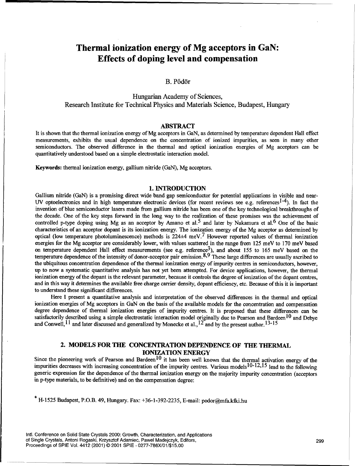## Thermal ionization energy of **Mg** acceptors in GaN: Effects of doping level and compensation

### B. Pődör

Hungarian Academy of Sciences, Research Institute for Technical Physics and Materials Science, Budapest, Hungary

#### ABSTRACT

It is shown that the thermal ionization energy of Mg acceptors in GaN, as determined by temperature dependent Hall effect measurements, exhibits the usual dependence on the concentration of ionized impurities, as seen in many other semiconductors. The observed difference in the thermal and optical ionization energies of Mg acceptors can be quantitatively understood based on a simple electrostatic interaction model.

Keywords: thermal ionization energy, gallium nitride (GaN), Mg acceptors.

#### **1. INTRODUCTION**

Gallium nitride (GaN) is a promising direct wide band gap semiconductor for potential applications in visible and near-UV optoelectronics and in high temperature electronic devices (for recent reviews see e.g. references<sup>1-4</sup>). In fact the invention of blue semiconductor lasers made from gallium nitride has been one of the key technological breakthroughs of the decade. One of the key steps forward in the long way to the realization of these promises was the achievement of controlled p-type doping using Mg as an acceptor by Amano et al.<sup>5</sup> and later by Nakamura et al.<sup>6</sup> One of the basic characteristics of an acceptor dopant is its ionization energy. The ionization energy of the Mg acceptor as determined by optical (low temperature photoluminescence) methods is  $224\pm4$  meV.<sup>7</sup> However reported values of thermal ionization energies for the Mg acceptor are considerably lower, with values scattered in the range from 125 meV to 170 meV based on temperature dependent Hall effect measurements (see e.g. reference<sup>3</sup>), and about 155 to 165 meV based on the temperature dependence of the intensity of donor-acceptor pair emission.  $8.9$  These large differences are usually ascribed to the ubiquitous concentration dependence of the thermal ionization energy of impurity centres in semiconductors, however, up to now a systematic quantitative analysis has not yet been attempted. For device applications, however, the thermal ionization energy of the dopant is the relevant parameter, because it controls the degree of ionization of the dopant centres, and in this way it determines the available free charge carrier density, dopant efficiency, etc. Because of this it is important to understand these significant differences.

Here I present a quantitative analysis and interpretation of the observed differences in the thermal and optical ionization energies of Mg acceptors in GaN on the basis of the available models for the concentration and compensation degree dependence of thermal ionization energies of impurity centres. It is proposed that these differences can be satisfactorily described using a simple electrostatic interaction model originally due to Pearson and Bardeen<sup>10</sup> and Debye and Conwell, <sup>11</sup> and later discussed and generalized by Monecke et al., <sup>12</sup> and by the present author. <sup>13-15</sup>

### 2. **MODELS** FOR THE **CONCENTRATION DEPENDENCE** OF **THE** THERMAL **IONIZATION** ENERGY

Since the pioneering work of Pearson and Bardeen<sup>10</sup> it has been well known that the thermal activation energy of the impurities decreases with increasing concentration of the impurity centres. Various models 10-12,15 lead to the following generic expression for the dependence of the thermal ionization energy on the majority impurity concentration (acceptors in p-type materials, to be definitive) and on the compensation degree:

**\*** H-1525 Budapest, P.O.B. 49, Hungary. Fax: +36-1-392-2235, E-mail: podor@mfa.klii.hu

Intl. Conference on Solid State Crystals 2000: Growth, Characterization, and Applications of Single Crystals, Antoni Rogaski, Krzysztof Adamiec, Pawel Madejczyk, Editors, 299 Proceedings of SPIE Vol. 4412 (2001) © 2001 SPIE • 0277-786X/01/\$15.00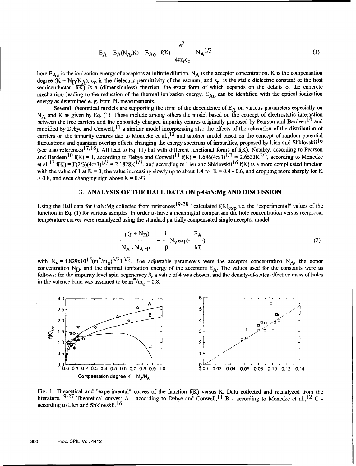$$
E_{A} = E_{A}(N_{A}, K) = E_{A0} - f(K) \frac{e^{2}}{4\pi \epsilon_{r} \epsilon_{0}} N_{A}^{1/3}
$$
 (1)

here  $E_{AO}$  is the ionization energy of acceptors at infinite dilution, N<sub>A</sub> is the acceptor concentration, K is the compensation degree  $(K = N_D/N_A)$ ,  $\epsilon_0$  is the dielectric permittivity of the vacuum, and  $\epsilon_r$  is the static dielectric constant of the host semiconductor.  $f(K)$  is a (dimensionless) function, the exact form of which depends on the details of the concrete mechanism leading to the reduction of the thermal ionization energy.  $E_{A_0}$  can be identified with the optical ionization energy as determined e. g. from PL measurements.

Several theoretical models are supporting the form of the dependence of  $E_A$  on various parameters especially on N<sub>A</sub> and K as given by Eq. (1). These include among others the model based on the concept of electrostatic interaction between the free carriers and the oppositely charged impurity centres originally proposed by Pearson and Bardeen<sup>10</sup> and modified by Debye and Conwell,  $1^{\dagger}$  a similar model incorporating also the effects of the relaxation of the distribution of carriers on the impurity centres due to Monecke et al.,  $^{12}$  and another model based on the concept of random potential fluctuations and quantum overlap effects changing the energy spectrum of impurities, proposed by Lien and Shklovskii<sup>16</sup> (see also references<sup>17,18</sup>). All lead to Eq. (1) but with different functional forms of  $f(K)$ . Notably, according to Pearson and Bardeen<sup>10</sup> f(K) = 1, according to Debye and Conwell<sup>11</sup> f(K) = 1.646(4 $\pi$ /3)<sup>1/3</sup> = 2.6533K<sup>1/3</sup>, according to Monecke et al. <sup>12</sup> f(K) =  $\Gamma(2/3)(4\pi/3)^{1/3}$  = 2.1828K<sup>1/3</sup>, and according to Lien and Shklovskii<sup>16</sup> f(K) is a more complicated function with the value of 1 at  $K = 0$ , the value increasing slowly up to about 1.4 for  $K = 0.4 - 0.6$ , and dropping more sharply for K  $> 0.8$ , and even changing sign above  $K = 0.93$ .

#### **3. ANALYSIS** OF **TLE** HALL **DATA ON** p-GaN:Mg **AND DISCUSSION**

Using the Hall data for GaN:Mg collected from references<sup>19-28</sup> I calculated  $f(K)_{\text{exn}}$  i.e. the "experimental" values of the function in Eq. (1) for various samples. In order to have a meaningful comparison the hole concentration versus reciprocal temperature curves were reanalyzed using the standard partially compensated single acceptor model:

$$
\frac{p(p + N_D)}{N_A - N_A - p} = \frac{1}{\beta} N_V \exp(-\frac{E_A}{kT})
$$
 (2)

with  $N_v = 4.829 \times 10^{15} (m^*/m_o)^{3/2} T^{3/2}$ . The adjustable parameters were the acceptor concentration N<sub>A</sub>, the donor concentration N<sub>D</sub>, and the thermal ionization energy of the acceptors  $E_A$ . The values used for the constants were as follows: for the impurity level spin degeneracy *B,* a value of 4 was chosen, and the density-of-states effective mass of holes in the valence band was assumed to be m<sup> $m_{\Omega} = 0.8$ .</sup>



Fig. **1.** Theoretical and "experimental" curves of the function f(K) versus K. Data collected and reanalyzed from the literature.  $19-27$  Theoretical curves: A - according to Debye and Conwell,  $11$  B - according to Monecke et al.,  $12$  C. according to Lien and Shklovskii. <sup>16</sup>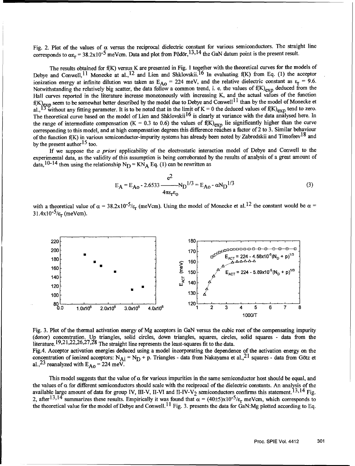Fig. 2. Plot of the values of  $\alpha$  versus the reciprocal dielectric constant for various semiconductors. The straight line corresponds to  $\alpha \epsilon_r = 38.2 \times 10^{-5}$  meVcm. Data and plot from Pődör, <sup>13,14</sup> the GaN datum point is the present result.

The results obtained for f(K) versus K are presented in Fig. 1 together with the theoretical curves for the models of Debye and Conwell, <sup>11</sup> Monecke at al., <sup>12</sup> and Lien and Shklovskii.<sup>16</sup> In evaluating f(K) from Eq. (1) the acceptor ionization energy at infinite dilution was taken as  $E_{A0} = 224$  meV, and the relative dielectric constant as  $\varepsilon_r = 9.6$ . Notwithstanding the relatively big scatter, the data follow a common trend, i. e. the values of  $f(K)_{exp}$  deduced from the Hall curves reported in the literature increase monotonously with increasing K, and the actual values of the function  $f(K)_{\text{exn}}$  seem to be somewhat better described by the model due to Debye and Conwell  $^{11}$  than by the model of Monecke et al., <sup>13</sup> without any fitting parameter. It is to be noted that in the limit of  $K = 0$  the deduced values of  $f(K)_{exp}$  tend to zero. The theoretical curve based on the model of Lien and Shklovskii<sup>16</sup> is clearly at variance with the data analysed here. In the range of intermediate compensation (K =  $0.3$  to 0.6) the values of  $f(K)_{\text{exp}}$  lie significantly higher than the curve corresponding to this model, and at high compensation degrees this difference reaches a factor of 2 to 3. Similar behaviour of the function  $f(K)$  in various semiconductor-impurity systems has already been noted by Zabrodskii and Timofeev<sup>18</sup> and by the present author  $15$  too.

If we suppose the a *priori* applicability of the electrostatic interaction model of Debye and Conwell to the experimental data, as the validity of this assumption is being corroborated by the results of analysis of a great amount of data,<sup>10-14</sup> then using the relationship  $N_D = KN_A$  Eq. (1) can be rewritten as

$$
E_{A} = E_{A0} - 2.6533 \frac{e^{2}}{4\pi\epsilon_{r}\epsilon_{0}} N_{D}^{1/3} = E_{A0} - \alpha N_{D}^{1/3}
$$
(3)

with a theoretical value of  $\alpha = 38.2 \times 10^{-5}/\epsilon_r$  (meVcm). Using the model of Monecke et al.<sup>12</sup> the constant would be  $\alpha$  $31.4x10^{-5}/\varepsilon_r$  (meVcm).



Fig. 3. Plot of the thermal activation energy of Mg acceptors in GaN versus the cubic root of the compensating impurity (donor) concentration. **Up** triangles, solid circles, down triangles, squares, circles, solid squares - data from the literature.  $19,21,22,26,27,28$  The straight line represents the least-squares fit to the data.

Fig.4. Acceptor activation energies deduced using a model incorporating the dependence of the activation energy on the concentration of ionized acceptors:  $N_{Ai} = N_D + p$ . Triangles - data from Nakayama et al., <sup>21</sup> squares - data from Götz et al.,<sup>23</sup> reanalyzed with  $E_{AO} = 224$  meV.

This model suggests that the value of  $\alpha$  for various impurities in the same semiconductor host should be equal, and the values of  $\alpha$  for different semiconductors should scale with the reciprocal of the dielectric constants. An analysis of the available large amount of data for group IV, III-V, II-VI and II-IV-V<sub>2</sub> semiconductors confirms this statement.<sup>13,14</sup> Fig. 2, after <sup>13,14</sup> summarizes these results. Empirically it was found that  $\alpha = (40\pm 5) \times 10^{-5}/\epsilon_r$  meVcm, which corresponds to the theoretical value for the model of Debye and Conwell.<sup>11</sup> Fig. 3. presents the data for GaN:Mg plotted according to Eq.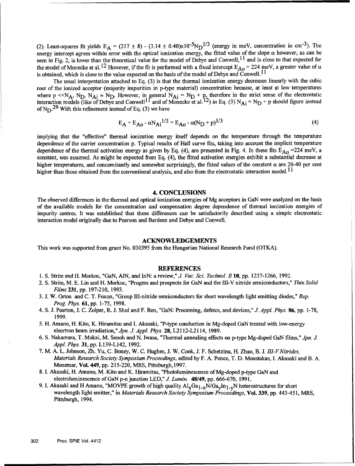(2). Least-squares fit yields  $E_A = (217 \pm 8) - (3.14 \pm 0.40)x10^{-5}N_D^{1/3}$  (energy in meV, concentration in cm<sup>-3</sup>). The energy intercept agrees within error with the optical ionization energy, the fitted value of the slope  $\alpha$  however, as can be seen in Fig. 2, is lower than the theoretical value for the model of Debye and Conwell, <sup>11</sup> and is close to that expected for the model of Monecke et al.<sup>12</sup> However, if the fit is performed with a fixed intercept  $E_{A0} = 224$  meV, a greater value of  $\alpha$ is obtained, which is close to the value expected on the basis of the model of Debye and Conwell. **1I**

The usual interpretation attached to Eq. (3) is that the thermal ionization energy decreases linearly with the cubic root of the ionized acceptor (majority impurities in p-type material) concentration because, at least at low temperatures where p <<N<sub>A</sub>, N<sub>D</sub>, N<sub>Ai</sub>  $\approx$  N<sub>D</sub>. However, in general N<sub>Ai</sub> = N<sub>D</sub> + p<sub>2</sub> therefore in the strict sense of the electrostatic interaction models (like of Debye and Conwell<sup>11</sup> and of Monecke et al.<sup>12</sup>) in Eq. (3) N<sub>Ai</sub> = N<sub>D</sub> + p should figure instead of  $N_D$ . <sup>29</sup> With this refinement instead of Eq. (3) we have

$$
E_A = E_{A0} - \alpha N_{Ai}^{1/3} = E_{A0} - \alpha (N_D + p)^{1/3}
$$
 (4)

implying that the "effective" thermal ionization energy itself depends on the temperature through the temperature dependence of the carrier concentration p. Typical results of Hall curve fits, taking into account the implicit temperature dependence of the thermal activation energy as given by Eq. (4), are presented in Fig. 4. In these fits  $E_{A0}$  =224 meV, a constant, was assumed. As might be expected from Eq. (4), the fitted activation energies exhibit a substantial decrease at higher temperatures, and concomitantly and somewhat surprisingly, the fitted values of the constant  $\alpha$  are 20-40 per cent higher than those obtained from the conventional analysis, and also from the electrostatic interaction model.<sup>11</sup>

#### 4. **CONCLUSIONS**

The observed differences in the thermal and optical ionization energies of Mg acceptors in GaN were analyzed on the basis of the available models for the concentration and compensation degree dependence of thermal ionization energies of impurity centres. It was established that these differences can be satisfactorily described using a simple electrostatic interaction model originally due to Pearson and Bardeen and Debye and Conwell.

#### **ACKNOWLEDGEMENTS**

This work was supported from grant No. 030395 from the Hungarian National Research Fund (OTKA).

#### **REFERENCES**

- 1. **S.** Strite and H. Morkoc, "GaN, **AIN,** and InN: a review," *J. Vac. Sci. Technol. B* **10,** pp. 1237-1266, 1992.
- 2. S. Strite, M. E. Lin and H. Morkoc, "Progess and prospects for GaN and the III-V nitride semiconductors," *Thin Solid Films* 231, pp. 197-210, 1993.
- 3. J. W. Orton and C. T. Foxon, "Group Ill-nitride semiconductors for short wavelength light emitting diodes," *Rep. Prog. Phys.* **61,** pp. 1-75, 1998.
- 4. S. J. Pearton, J. C. Zolper, R. J. Shul and F. Ren, "GaN: Processing, defetcs, and devices," *J. Appl. Phys.* 86, pp. 1-78, 1999.
- 5. H. Amano, H. Kito, K. Hiramitsu and I. Akasaki, "P-type conduction in Mg-doped GaN treated with low-energy elecrtron beam irradiation," *Jpn. J Appl. Phys.* 28, L2112-L2114, 1989.
- 6. **S.** Nakamura, T. Mukai, M. Senoh and N. Iwasa, "Thermal annealing effects on p-type Mg-doped GaN films," *Jpn. J Appl. Phys.* **31,** pp. L139-L142, 1992.
- 7. M. A. L. Johnson, Zh. Yu, C. Boney, W. C. Hughes, J. W. Cook, J. F. Schetzina, H. Zhao, B. J. *llI-VNitrides, Materials Research Society Symposium Proceedings,* edited by F. A. Ponce, T. D. Moustakas, I. Akasaki and B. A. Monemar, Vol. 449, pp. 215-220, MRS, Pittsburgh, 1997.
- 8. I. Akasaki, H. Amano, M. Kito and K. Hiramitsu, "Photoluminescence of Mg-doped p-type GaN and electroluminescence of GaN p-n junction LED," J. Lumin. 48/49, pp. 666-670, 1991.
- 9. I. Akasaki and H Amano, "MOVPE growth of high quality  $Al_XGa_{1-x}N/Ga_YIn_{1-y}N$  heterostructures for short wavelength light emitter," in *Materials Research Society Symposium Proceedings,* Vol. 339, pp. 443-451, MRS, Pittsburgh, 1994.